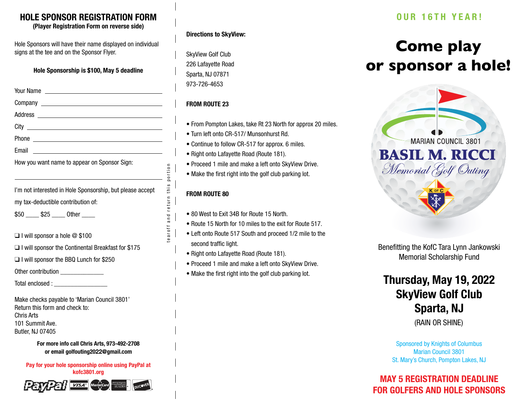## **HOLE SPONSOR REGISTRATION FORM**

**(Player Registration Form on reverse side)**

Hole Sponsors will have their name displayed on individual signs at the tee and on the Sponsor Flyer.

**Hole Sponsorship is \$100, May 5 deadline**

| How you want name to appear on Sponsor Sign:              |  |  |
|-----------------------------------------------------------|--|--|
|                                                           |  |  |
| I'm not interested in Hole Sponsorship, but please accept |  |  |
| my tax-deductible contribution of:                        |  |  |
| $$50$ $$25$ Other                                         |  |  |
|                                                           |  |  |
| $\Box$ I will sponsor a hole $\oslash$ \$100              |  |  |
| $\Box$ I will sponsor the Continental Breakfast for \$175 |  |  |

❑ I will sponsor the BBQ Lunch for \$250

Other contribution

Total enclosed :

Make checks payable to 'Marian Council 3801' Return this form and check to: Chris Arts 101 Summit Ave. Butler, NJ 07405

> **For more info call Chris Arts, 973-492-2708 or email golfouting2022@gmail.com**

**Pay for your hole sponsorship online using PayPal at kofc3801.org**



#### **Directions to SkyView:**

SkyView Golf Club 226 Lafayette Road Sparta, NJ 07871 973-726-4653

### **FROM ROUTE 23**

- From Pompton Lakes, take Rt 23 North for approx 20 miles.
- Turn left onto CR-517/ Munsonhurst Rd.
- Continue to follow CR-517 for approx. 6 miles.
- Right onto Lafayette Road (Route 181).
- Proceed 1 mile and make a left onto SkyView Drive.
- Make the first right into the golf club parking lot.

### **FROM ROUTE 80**

tearoff and return this portion

tearoff and return this portion

- 80 West to Exit 34B for Route 15 North.
- Route 15 North for 10 miles to the exit for Route 517.
- Left onto Route 517 South and proceed 1/2 mile to the second traffic light.
- Right onto Lafayette Road (Route 181).
- Proceed 1 mile and make a left onto SkyView Drive.
- Make the first right into the golf club parking lot.

## **OUR 16TH YEAR!**

# **Come play or sponsor a hole!**





## **Thursday, May 19, 2022 SkyView Golf Club Sparta, NJ**

(RAIN OR SHINE)

Sponsored by Knights of Columbus Marian Council 3801 St. Mary's Church, Pompton Lakes, NJ

## **MAY 5 REGISTRATION DEADLINE FOR GOLFERS AND HOLE SPONSORS**